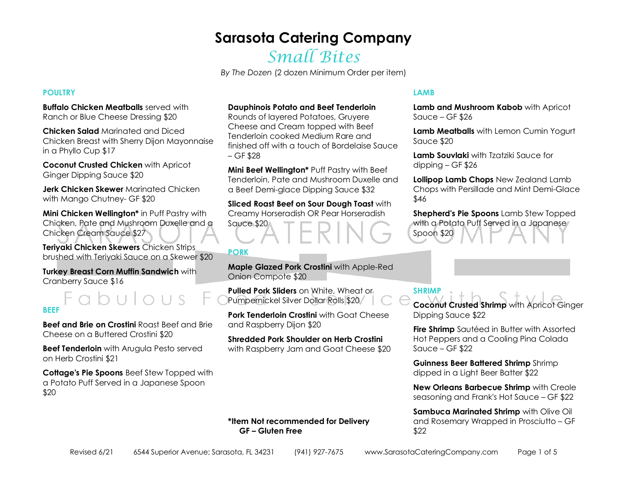# Small Bites

*By The Dozen* (2 dozen Minimum Order per item)

### **POULTRY**

**Buffalo Chicken Meatballs** served with Ranch or Blue Cheese Dressing \$20

**Chicken Salad** Marinated and Diced Chicken Breast with Sherry Dijon Mayonnaise in a Phyllo Cup \$17

**Coconut Crusted Chicken** with Apricot Ginger Dipping Sauce \$20

**Jerk Chicken Skewer** Marinated Chicken with Mango Chutney- GF \$20

**Mini Chicken Wellington\*** in Puff Pastry with Chicken, Pate and Mushroom Duxelle and a Chicken Cream Sauce \$27

**Teriyaki Chicken Skewers** Chicken Strips brushed with Teriyaki Sauce on a Skewer \$20

**Turkey Breast Corn Muffin Sandwich** with Cranberry Sauce \$16

### **BEEF**

**Beef and Brie on Crostini** Roast Beef and Brie Cheese on a Buttered Crostini \$20

**Beef Tenderloin** with Arugula Pesto served on Herb Crostini \$21

**Cottage's Pie Spoons** Beef Stew Topped with a Potato Puff Served in a Japanese Spoon \$20

#### **Dauphinois Potato and Beef Tenderloin**

Rounds of layered Potatoes, Gruyere Cheese and Cream topped with Beef Tenderloin cooked Medium Rare and finished off with a touch of Bordelaise Sauce  $-$  GF \$28

**Mini Beef Wellington\*** Puff Pastry with Beef Tenderloin, Pate and Mushroom Duxelle and a Beef Demi-glace Dipping Sauce \$32

**Sliced Roast Beef on Sour Dough Toast** with Creamy Horseradish OR Pear Horseradish

Sauce \$20

### **PORK**

**Maple Glazed Pork Crostini** with Apple-Red Onion Compote \$20

**Pulled Pork Sliders** on White, Wheat or Pumpernickel Silver Dollar Rolls \$20

**Pork Tenderloin Crostini** with Goat Cheese and Raspberry Dijon \$20

**Shredded Pork Shoulder on Herb Crostini** with Raspberry Jam and Goat Cheese \$20

### **LAMB**

**Lamb and Mushroom Kabob** with Apricot Sauce – GF \$26

**Lamb Meatballs** with Lemon Cumin Yogurt Sauce \$20

**Lamb Souvlaki** with Tzatziki Sauce for dipping – GF \$26

**Lollipop Lamb Chops** New Zealand Lamb Chops with Persillade and Mint Demi-Glace \$46

**Shepherd's Pie Spoons** Lamb Stew Topped with a Potato Puff Served in a Japanese Spoon \$20

### **SHRIMP**

**Coconut Crusted Shrimp** with Apricot Ginger Dipping Sauce \$22

**Fire Shrimp** Sautéed in Butter with Assorted Hot Peppers and a Cooling Pina Colada Sauce – GF \$22

**Guinness Beer Battered Shrimp** Shrimp dipped in a Light Beer Batter \$22

**New Orleans Barbecue Shrimp** with Creole seasoning and Frank's Hot Sauce – GF \$22

**Sambuca Marinated Shrimp** with Olive Oil and Rosemary Wrapped in Prosciutto – GF \$22

**\*Item Not recommended for Delivery GF – Gluten Free**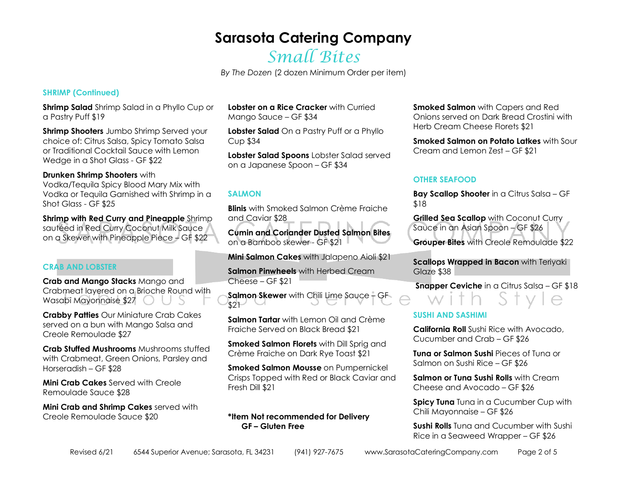## Small Bites

*By The Dozen* (2 dozen Minimum Order per item)

### **SHRIMP (Continued)**

**Shrimp Salad** Shrimp Salad in a Phyllo Cup or a Pastry Puff \$19

**Shrimp Shooters** Jumbo Shrimp Served your choice of: Citrus Salsa, Spicy Tomato Salsa or Traditional Cocktail Sauce with Lemon Wedge in a Shot Glass - GF \$22

### **Drunken Shrimp Shooters** with

 Vodka/Tequila Spicy Blood Mary Mix with Vodka or Tequila Garnished with Shrimp in a Shot Glass - GF \$25

**Shrimp with Red Curry and Pineapple Shrimp** sautéed in Red Curry Coconut Milk Sauce on a Skewer with Pineapple Piece – GF \$22

### **CRAB AND LOBSTER**

**Crab and Mango Stacks** Mango and Crabmeat layered on a Brioche Round with Wasabi Mayonnaise \$27 | U

**Crabby Patties** Our Miniature Crab Cakes served on a bun with Mango Salsa and Creole Remoulade \$27

**Crab Stuffed Mushrooms** Mushrooms stuffed with Crabmeat, Green Onions, Parsley and Horseradish – GF \$28

**Mini Crab Cakes** Served with Creole Remoulade Sauce \$28

**Mini Crab and Shrimp Cakes** served with Creole Remoulade Sauce \$20

**Lobster on a Rice Cracker** with Curried Mango Sauce – GF \$34

**Lobster Salad** On a Pastry Puff or a Phyllo Cup \$34

**Lobster Salad Spoons** Lobster Salad served on a Japanese Spoon – GF \$34

### **SALMON**

**Blinis** with Smoked Salmon Crème Fraiche and Caviar \$28

**Cumin and Coriander Dusted Salmon Bites** on a Bamboo skewer - GF \$21

**Mini Salmon Cakes** with Jalapeno Aioli \$21

**Salmon Pinwheels** with Herbed Cream Cheese – GF \$21

**Salmon Skewer** with Chili Lime Sauce – GF  $$21$ 

**Salmon Tartar** with Lemon Oil and Crème Fraiche Served on Black Bread \$21

**Smoked Salmon Florets** with Dill Sprig and Crème Fraiche on Dark Rye Toast \$21

**Smoked Salmon Mousse** on Pumpernickel Crisps Topped with Red or Black Caviar and Fresh Dill \$21

### **\*Item Not recommended for Delivery GF – Gluten Free**

**Smoked Salmon** with Capers and Red Onions served on Dark Bread Crostini with Herb Cream Cheese Florets \$21

**Smoked Salmon on Potato Latkes** with Sour Cream and Lemon Zest – GF \$21

### **OTHER SEAFOOD**

**Bay Scallop Shooter** in a Citrus Salsa – GF \$18

**Grilled Sea Scallop** with Coconut Curry Sauce in an Asian Spoon – GF \$26 **Grouper Bites** with Creole Remoulade \$22

**Scallops Wrapped in Bacon** with Teriyaki Glaze \$38

 **Snapper Ceviche** in a Citrus Salsa – GF \$18

### **SUSHI AND SASHIMI**

**California Roll** Sushi Rice with Avocado, Cucumber and Crab – GF \$26

**Tuna or Salmon Sushi** Pieces of Tuna or Salmon on Sushi Rice – GF \$26

**Salmon or Tuna Sushi Rolls** with Cream Cheese and Avocado – GF \$26

**Spicy Tuna** Tuna in a Cucumber Cup with Chili Mayonnaise – GF \$26

**Sushi Rolls** Tuna and Cucumber with Sushi Rice in a Seaweed Wrapper – GF \$26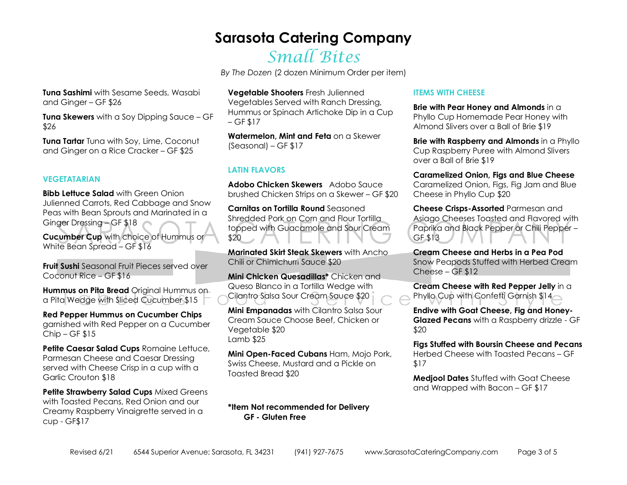# Small Bites

*By The Dozen* (2 dozen Minimum Order per item)

**Tuna Sashimi** with Sesame Seeds, Wasabi and Ginger – GF \$26

**Tuna Skewers** with a Soy Dipping Sauce – GF \$26

**Tuna Tartar** Tuna with Soy, Lime, Coconut and Ginger on a Rice Cracker – GF \$25

### **VEGETATARIAN**

**Bibb Lettuce Salad** with Green Onion Julienned Carrots, Red Cabbage and Snow Peas with Bean Sprouts and Marinated in a Ginger Dressing – GF \$18

**Cucumber Cup** with choice of Hummus or White Bean Spread – GF \$16

**Fruit Sushi** Seasonal Fruit Pieces served over Coconut Rice – GF \$16

**Hummus on Pita Bread** Original Hummus on a Pita Wedge with Sliced Cucumber \$15

**Red Pepper Hummus on Cucumber Chips** garnished with Red Pepper on a Cucumber Chip – GF \$15

**Petite Caesar Salad Cups Romaine Lettuce,** Parmesan Cheese and Caesar Dressing served with Cheese Crisp in a cup with a Garlic Crouton \$18

**Petite Strawberry Salad Cups** Mixed Greens with Toasted Pecans, Red Onion and our Creamy Raspberry Vinaigrette served in a cup - GF\$17

**Vegetable Shooters** Fresh Julienned Vegetables Served with Ranch Dressing, Hummus or Spinach Artichoke Dip in a Cup  $-$  GF \$17

**Watermelon, Mint and Feta** on a Skewer (Seasonal) – GF \$17

### **LATIN FLAVORS**

**Adobo Chicken Skewers** Adobo Sauce brushed Chicken Strips on a Skewer – GF \$20

**Carnitas on Tortilla Round** Seasoned Shredded Pork on Corn and Flour Tortilla topped with Guacamole and Sour Cream \$20

**Marinated Skirt Steak Skewers** with Ancho Chili or Chimichurri Sauce \$20

**Mini Chicken Quesadillas\*** Chicken and Queso Blanco in a Tortilla Wedge with Cilantro Salsa Sour Cream Sauce \$20

**Mini Empanadas** with Cilantro Salsa Sour Cream Sauce Choose Beef, Chicken or Vegetable \$20 Lamb \$25

**Mini Open-Faced Cubans** Ham, Mojo Pork, Swiss Cheese, Mustard and a Pickle on Toasted Bread \$20

#### **\*Item Not recommended for Delivery GF - Gluten Free**

#### **ITEMS WITH CHEESE**

**Brie with Pear Honey and Almonds** in a Phyllo Cup Homemade Pear Honey with Almond Slivers over a Ball of Brie \$19

**Brie with Raspberry and Almonds** in a Phyllo Cup Raspberry Puree with Almond Slivers over a Ball of Brie \$19

**Caramelized Onion, Figs and Blue Cheese** Caramelized Onion, Figs, Fig Jam and Blue Cheese in Phyllo Cup \$20

**Cheese Crisps-Assorted** Parmesan and Asiago Cheeses Toasted and Flavored with Paprika and Black Pepper or Chili Pepper – GF \$13

**Cream Cheese and Herbs in a Pea Pod** Snow Peapods Stuffed with Herbed Cream Cheese – GF \$12

**Cream Cheese with Red Pepper Jelly** in a Phyllo Cup with Confetti Garnish \$14

**Endive with Goat Cheese, Fig and Honey-Glazed Pecans** with a Raspberry drizzle - GF \$20

**Figs Stuffed with Boursin Cheese and Pecans**Herbed Cheese with Toasted Pecans – GF \$17

**Medjool Dates** Stuffed with Goat Cheese and Wrapped with Bacon – GF \$17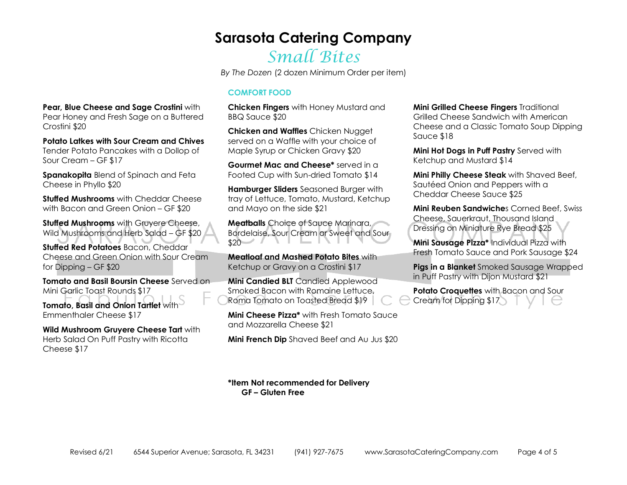# Small Bites

*By The Dozen* (2 dozen Minimum Order per item)

### **COMFORT FOOD**

**Chicken Fingers** with Honey Mustard and BBQ Sauce \$20

**Chicken and Waffles** Chicken Nugget served on a Waffle with your choice of Maple Syrup or Chicken Gravy \$20

**Gourmet Mac and Cheese\*** served in a Footed Cup with Sun-dried Tomato \$14

**Hamburger Sliders** Seasoned Burger with tray of Lettuce, Tomato, Mustard, Ketchup and Mayo on the side \$21

**Meatballs** Choice of Sauce Marinara, Bordelaise, Sour Cream or Sweet and Sour  $$20$ 

**Meatloaf and Mashed Potato Bites** with Ketchup or Gravy on a Crostini \$17

**Mini Candied BLT** Candied Applewood Smoked Bacon with Romaine Lettuce, Roma Tomato on Toasted Bread \$19

**Mini Cheese Pizza\*** with Fresh Tomato Sauce and Mozzarella Cheese \$21

**Mini French Dip** Shaved Beef and Au Jus \$20

**Mini Grilled Cheese Fingers** Traditional Grilled Cheese Sandwich with American Cheese and a Classic Tomato Soup Dipping Sauce \$18

**Mini Hot Dogs in Puff Pastry** Served with Ketchup and Mustard \$14

**Mini Philly Cheese Steak** with Shaved Beef, Sautéed Onion and Peppers with a Cheddar Cheese Sauce \$25

**Mini Reuben Sandwiche**s Corned Beef, Swiss Cheese, Sauerkraut, Thousand Island Dressing on Miniature Rye Bread \$25

**Mini Sausage Pizza\*** Individual Pizza with Fresh Tomato Sauce and Pork Sausage \$24

**Pigs in a Blanket** Smoked Sausage Wrapped in Puff Pastry with Dijon Mustard \$21

**Potato Croquettes** with Bacon and Sour Cream for Dipping \$17

**\*Item Not recommended for Delivery GF – Gluten Free** 

**Pear, Blue Cheese and Sage Crostini** with Pear Honey and Fresh Sage on a Buttered Crostini \$20

**Potato Latkes with Sour Cream and Chives**Tender Potato Pancakes with a Dollop of Sour Cream – GF \$17

**Spanakopita** Blend of Spinach and Feta Cheese in Phyllo \$20

**Stuffed Mushrooms** with Cheddar Cheese with Bacon and Green Onion – GF \$20

**Stuffed Mushrooms** with Gruyere Cheese, Wild Mushrooms and Herb Salad – GF \$20

**Stuffed Red Potatoes** Bacon, Cheddar Cheese and Green Onion with Sour Cream for Dipping – GF \$20

**Tomato and Basil Boursin Cheese** Served on Mini Garlic Toast Rounds \$17

**Tomato, Basil and Onion Tartlet** with Emmenthaler Cheese \$17

**Wild Mushroom Gruyere Cheese Tart** with Herb Salad On Puff Pastry with Ricotta Cheese \$17